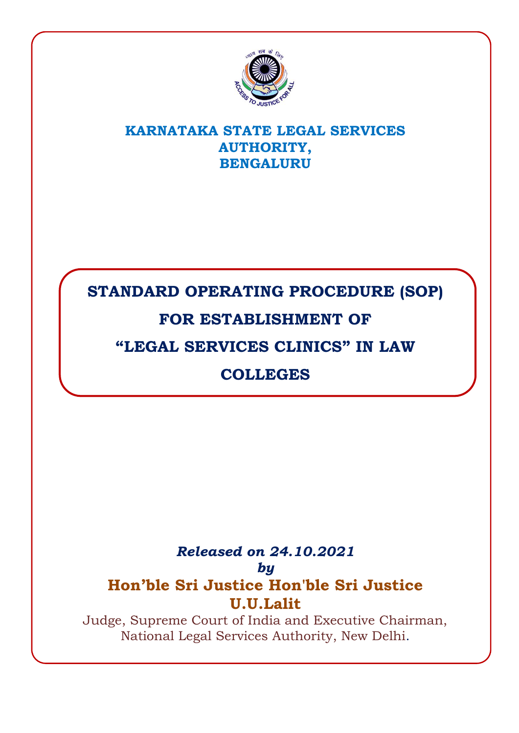

### **KARNATAKA STATE LEGAL SERVICES AUTHORITY, BENGALURU**

# **STANDARD OPERATING PROCEDURE (SOP)**

# **FOR ESTABLISHMENT OF**

# **"LEGAL SERVICES CLINICS" IN LAW**

# **COLLEGES**

### *Released on 24.10.2021 by* **Hon'ble Sri Justice Hon'ble Sri Justice U.U.Lalit**

Judge, Supreme Court of India and Executive Chairman, National Legal Services Authority, New Delhi.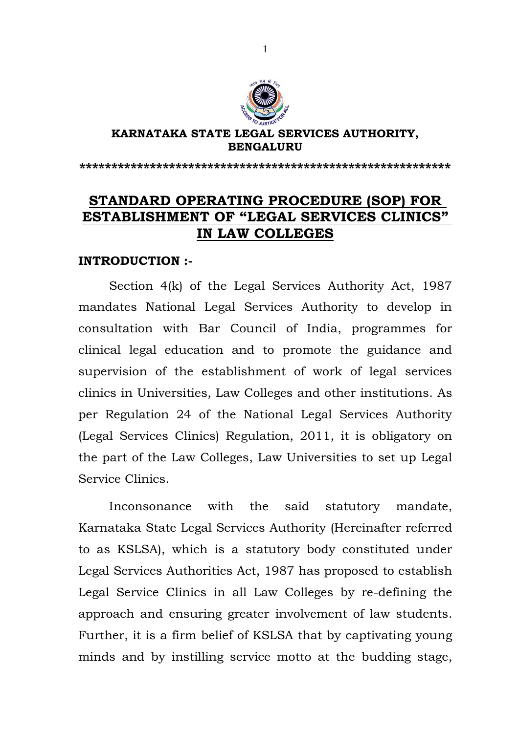

#### **KARNATAKA STATE LEGAL SERVICES AUTHORITY, BENGALURU**

**\*\*\*\*\*\*\*\*\*\*\*\*\*\*\*\*\*\*\*\*\*\*\*\*\*\*\*\*\*\*\*\*\*\*\*\*\*\*\*\*\*\*\*\*\*\*\*\*\*\*\*\*\*\*\*\*\*\***

### **STANDARD OPERATING PROCEDURE (SOP) FOR ESTABLISHMENT OF "LEGAL SERVICES CLINICS" IN LAW COLLEGES**

#### **INTRODUCTION :-**

Section 4(k) of the Legal Services Authority Act, 1987 mandates National Legal Services Authority to develop in consultation with Bar Council of India, programmes for clinical legal education and to promote the guidance and supervision of the establishment of work of legal services clinics in Universities, Law Colleges and other institutions. As per Regulation 24 of the National Legal Services Authority (Legal Services Clinics) Regulation, 2011, it is obligatory on the part of the Law Colleges, Law Universities to set up Legal Service Clinics.

Inconsonance with the said statutory mandate, Karnataka State Legal Services Authority (Hereinafter referred to as KSLSA), which is a statutory body constituted under Legal Services Authorities Act, 1987 has proposed to establish Legal Service Clinics in all Law Colleges by re-defining the approach and ensuring greater involvement of law students. Further, it is a firm belief of KSLSA that by captivating young minds and by instilling service motto at the budding stage,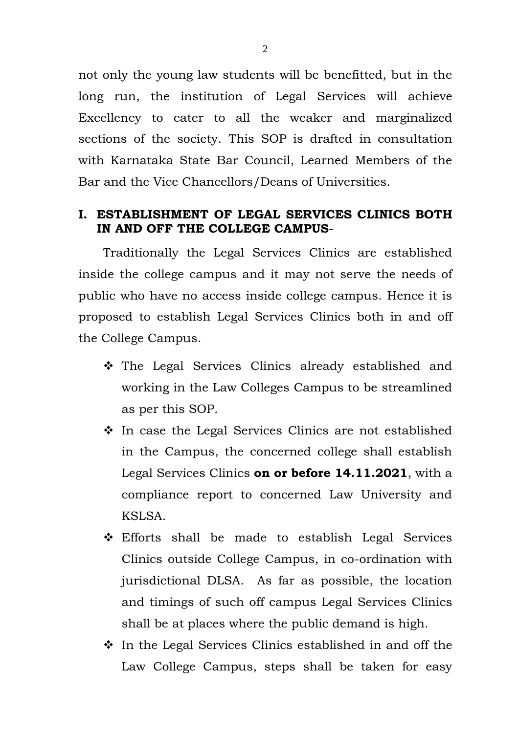not only the young law students will be benefitted, but in the long run, the institution of Legal Services will achieve Excellency to cater to all the weaker and marginalized sections of the society. This SOP is drafted in consultation with Karnataka State Bar Council, Learned Members of the Bar and the Vice Chancellors/Deans of Universities.

#### **I. ESTABLISHMENT OF LEGAL SERVICES CLINICS BOTH IN AND OFF THE COLLEGE CAMPUS**-

Traditionally the Legal Services Clinics are established inside the college campus and it may not serve the needs of public who have no access inside college campus. Hence it is proposed to establish Legal Services Clinics both in and off the College Campus.

- The Legal Services Clinics already established and working in the Law Colleges Campus to be streamlined as per this SOP.
- $\cdot$  In case the Legal Services Clinics are not established in the Campus, the concerned college shall establish Legal Services Clinics **on or before 14.11.2021**, with a compliance report to concerned Law University and KSLSA.
- Efforts shall be made to establish Legal Services Clinics outside College Campus, in co-ordination with jurisdictional DLSA. As far as possible, the location and timings of such off campus Legal Services Clinics shall be at places where the public demand is high.
- $\cdot$  In the Legal Services Clinics established in and off the Law College Campus, steps shall be taken for easy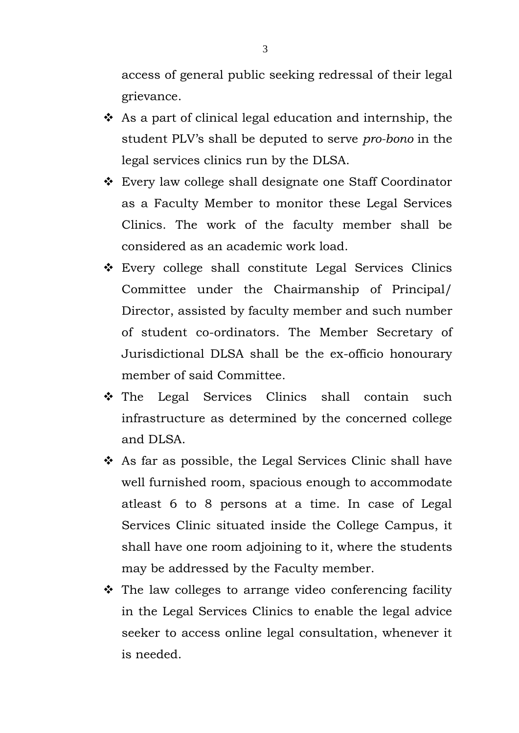access of general public seeking redressal of their legal grievance.

- As a part of clinical legal education and internship, the student PLV's shall be deputed to serve *pro-bono* in the legal services clinics run by the DLSA.
- Every law college shall designate one Staff Coordinator as a Faculty Member to monitor these Legal Services Clinics. The work of the faculty member shall be considered as an academic work load.
- Every college shall constitute Legal Services Clinics Committee under the Chairmanship of Principal/ Director, assisted by faculty member and such number of student co-ordinators. The Member Secretary of Jurisdictional DLSA shall be the ex-officio honourary member of said Committee.
- The Legal Services Clinics shall contain such infrastructure as determined by the concerned college and DLSA.
- $\hat{P}$  As far as possible, the Legal Services Clinic shall have well furnished room, spacious enough to accommodate atleast 6 to 8 persons at a time. In case of Legal Services Clinic situated inside the College Campus, it shall have one room adjoining to it, where the students may be addressed by the Faculty member.
- $\hat{\mathbf{v}}$  The law colleges to arrange video conferencing facility in the Legal Services Clinics to enable the legal advice seeker to access online legal consultation, whenever it is needed.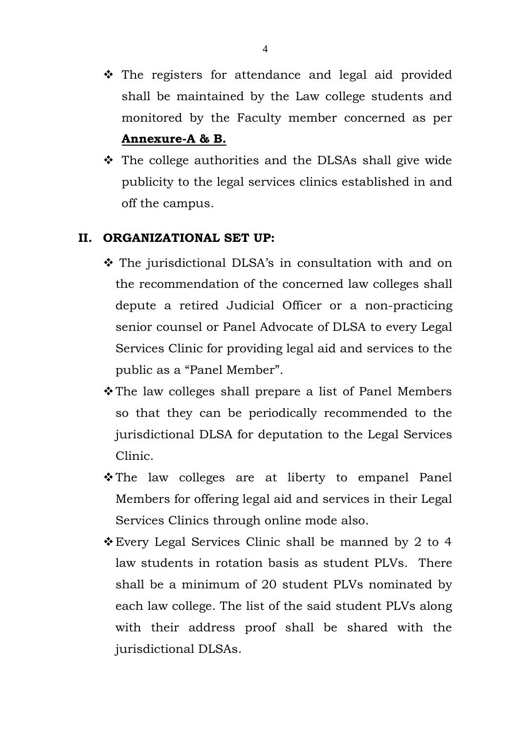- ◆ The registers for attendance and legal aid provided shall be maintained by the Law college students and monitored by the Faculty member concerned as per **Annexure-A & B.**
- The college authorities and the DLSAs shall give wide publicity to the legal services clinics established in and off the campus.

#### **II. ORGANIZATIONAL SET UP:**

- The jurisdictional DLSA's in consultation with and on the recommendation of the concerned law colleges shall depute a retired Judicial Officer or a non-practicing senior counsel or Panel Advocate of DLSA to every Legal Services Clinic for providing legal aid and services to the public as a "Panel Member".
- **\*** The law colleges shall prepare a list of Panel Members so that they can be periodically recommended to the jurisdictional DLSA for deputation to the Legal Services Clinic.
- \* The law colleges are at liberty to empanel Panel Members for offering legal aid and services in their Legal Services Clinics through online mode also.
- Every Legal Services Clinic shall be manned by 2 to 4 law students in rotation basis as student PLVs. There shall be a minimum of 20 student PLVs nominated by each law college. The list of the said student PLVs along with their address proof shall be shared with the jurisdictional DLSAs.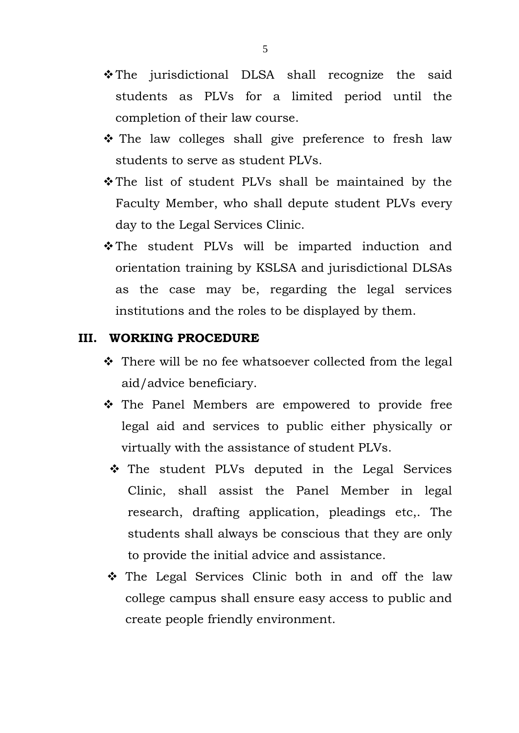- The jurisdictional DLSA shall recognize the said students as PLVs for a limited period until the completion of their law course.
- \* The law colleges shall give preference to fresh law students to serve as student PLVs.
- \* The list of student PLVs shall be maintained by the Faculty Member, who shall depute student PLVs every day to the Legal Services Clinic.
- \* The student PLVs will be imparted induction and orientation training by KSLSA and jurisdictional DLSAs as the case may be, regarding the legal services institutions and the roles to be displayed by them.

#### **III. WORKING PROCEDURE**

- ❖ There will be no fee whatsoever collected from the legal aid/advice beneficiary.
- \* The Panel Members are empowered to provide free legal aid and services to public either physically or virtually with the assistance of student PLVs.
- \* The student PLVs deputed in the Legal Services Clinic, shall assist the Panel Member in legal research, drafting application, pleadings etc,. The students shall always be conscious that they are only to provide the initial advice and assistance.
- The Legal Services Clinic both in and off the law college campus shall ensure easy access to public and create people friendly environment.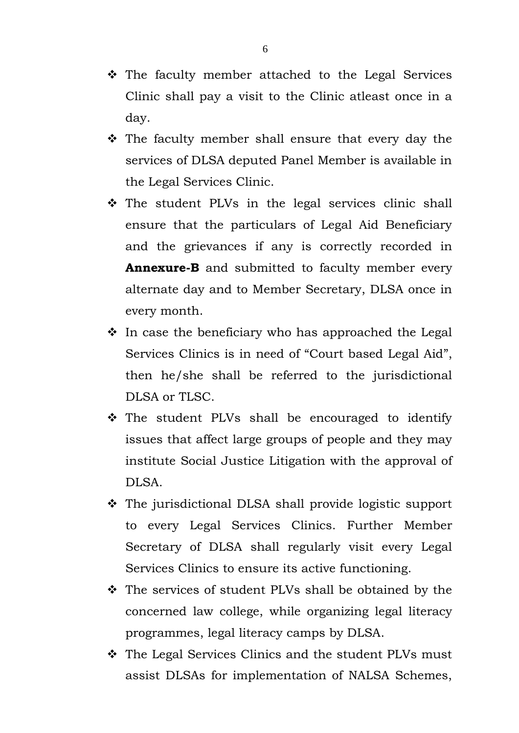- The faculty member attached to the Legal Services Clinic shall pay a visit to the Clinic atleast once in a day.
- $\hat{\cdot}$  The faculty member shall ensure that every day the services of DLSA deputed Panel Member is available in the Legal Services Clinic.
- \* The student PLVs in the legal services clinic shall ensure that the particulars of Legal Aid Beneficiary and the grievances if any is correctly recorded in **Annexure-B** and submitted to faculty member every alternate day and to Member Secretary, DLSA once in every month.
- $\cdot$  In case the beneficiary who has approached the Legal Services Clinics is in need of "Court based Legal Aid", then he/she shall be referred to the jurisdictional DLSA or TLSC.
- \* The student PLVs shall be encouraged to identify issues that affect large groups of people and they may institute Social Justice Litigation with the approval of DLSA.
- The jurisdictional DLSA shall provide logistic support to every Legal Services Clinics. Further Member Secretary of DLSA shall regularly visit every Legal Services Clinics to ensure its active functioning.
- The services of student PLVs shall be obtained by the concerned law college, while organizing legal literacy programmes, legal literacy camps by DLSA.
- \* The Legal Services Clinics and the student PLVs must assist DLSAs for implementation of NALSA Schemes,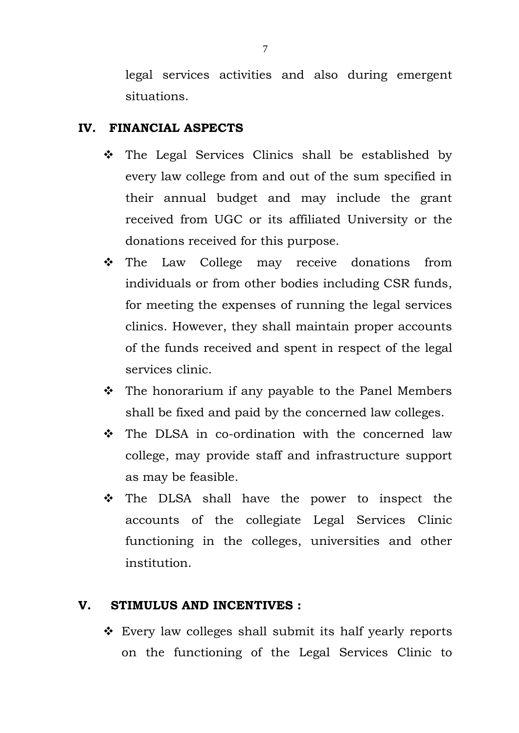legal services activities and also during emergent situations.

#### **IV. FINANCIAL ASPECTS**

- $\hat{P}$  The Legal Services Clinics shall be established by every law college from and out of the sum specified in their annual budget and may include the grant received from UGC or its affiliated University or the donations received for this purpose.
- The Law College may receive donations from individuals or from other bodies including CSR funds, for meeting the expenses of running the legal services clinics. However, they shall maintain proper accounts of the funds received and spent in respect of the legal services clinic.
- $\cdot \cdot$  The honorarium if any payable to the Panel Members shall be fixed and paid by the concerned law colleges.
- The DLSA in co-ordination with the concerned law college, may provide staff and infrastructure support as may be feasible.
- The DLSA shall have the power to inspect the accounts of the collegiate Legal Services Clinic functioning in the colleges, universities and other institution.

#### **V. STIMULUS AND INCENTIVES :**

 Every law colleges shall submit its half yearly reports on the functioning of the Legal Services Clinic to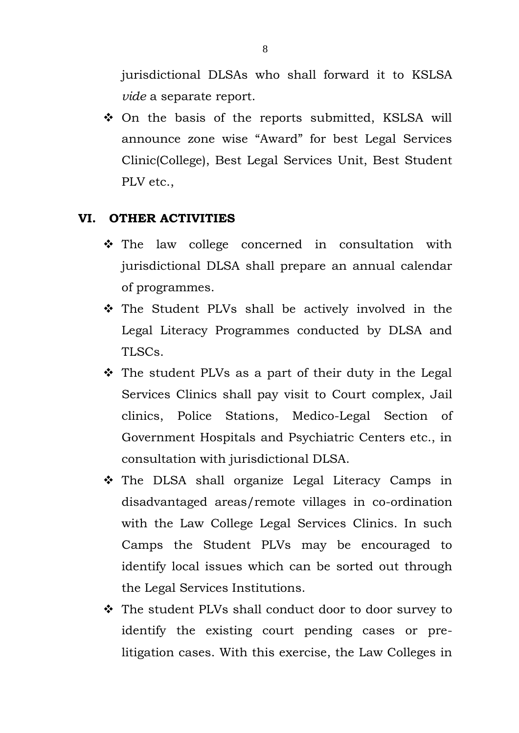jurisdictional DLSAs who shall forward it to KSLSA *vide* a separate report.

 On the basis of the reports submitted, KSLSA will announce zone wise "Award" for best Legal Services Clinic(College), Best Legal Services Unit, Best Student PLV etc.,

#### **VI. OTHER ACTIVITIES**

- The law college concerned in consultation with jurisdictional DLSA shall prepare an annual calendar of programmes.
- \* The Student PLVs shall be actively involved in the Legal Literacy Programmes conducted by DLSA and TLSCs.
- \* The student PLVs as a part of their duty in the Legal Services Clinics shall pay visit to Court complex, Jail clinics, Police Stations, Medico-Legal Section of Government Hospitals and Psychiatric Centers etc., in consultation with jurisdictional DLSA.
- The DLSA shall organize Legal Literacy Camps in disadvantaged areas/remote villages in co-ordination with the Law College Legal Services Clinics. In such Camps the Student PLVs may be encouraged to identify local issues which can be sorted out through the Legal Services Institutions.
- The student PLVs shall conduct door to door survey to identify the existing court pending cases or prelitigation cases. With this exercise, the Law Colleges in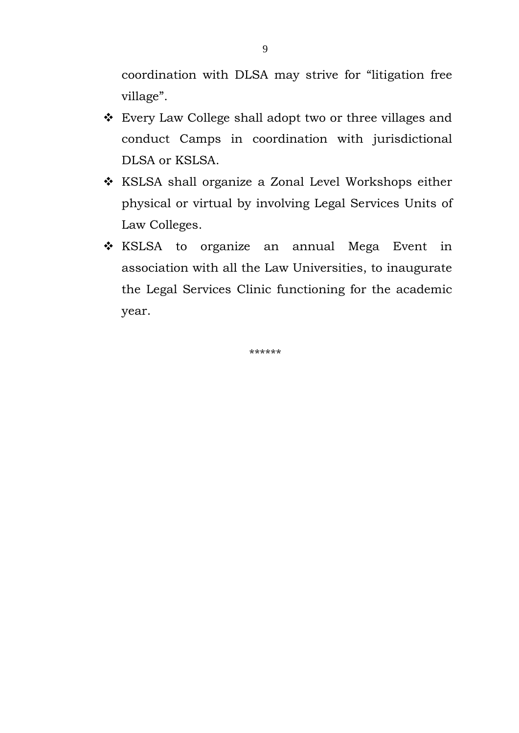coordination with DLSA may strive for "litigation free village".

- Every Law College shall adopt two or three villages and conduct Camps in coordination with jurisdictional DLSA or KSLSA.
- KSLSA shall organize a Zonal Level Workshops either physical or virtual by involving Legal Services Units of Law Colleges.
- \* KSLSA to organize an annual Mega Event in association with all the Law Universities, to inaugurate the Legal Services Clinic functioning for the academic year.

\*\*\*\*\*\*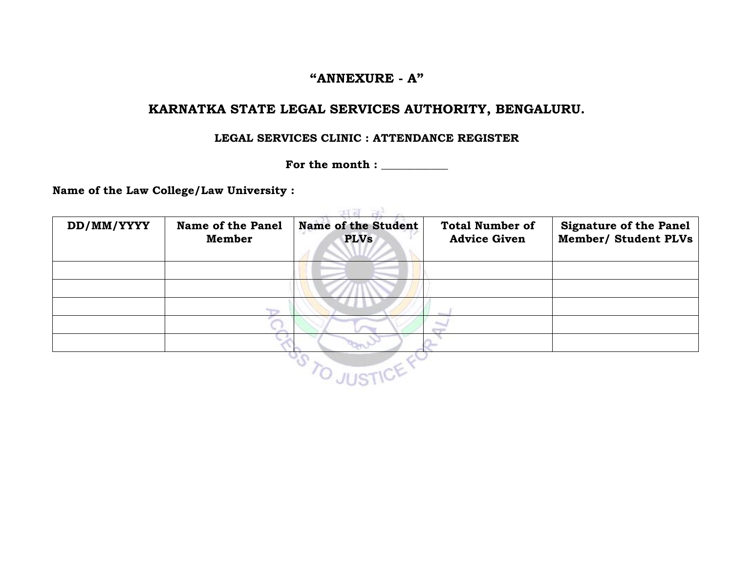#### **"ANNEXURE - A"**

#### **KARNATKA STATE LEGAL SERVICES AUTHORITY, BENGALURU.**

#### **LEGAL SERVICES CLINIC : ATTENDANCE REGISTER**

**For the month : \_\_\_\_\_\_\_\_\_\_\_\_**

**Name of the Law College/Law University :** 

| DD/MM/YYYY | <b>Name of the Panel</b><br>Member | <b>Name of the Student</b><br><b>PLVs</b> | <b>Total Number of</b><br><b>Advice Given</b> | <b>Signature of the Panel</b><br><b>Member/ Student PLVs</b> |
|------------|------------------------------------|-------------------------------------------|-----------------------------------------------|--------------------------------------------------------------|
|            |                                    |                                           |                                               |                                                              |
|            |                                    |                                           |                                               |                                                              |
|            | $\overline{ }$                     |                                           |                                               |                                                              |
|            |                                    |                                           |                                               |                                                              |
|            |                                    |                                           |                                               |                                                              |
|            |                                    |                                           |                                               |                                                              |
|            |                                    |                                           |                                               |                                                              |